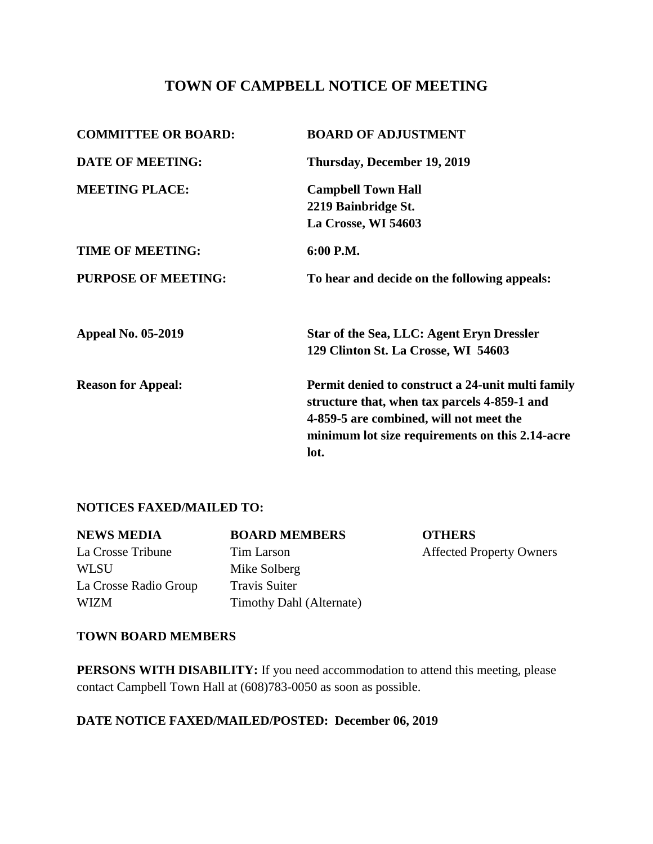# **TOWN OF CAMPBELL NOTICE OF MEETING**

| <b>COMMITTEE OR BOARD:</b> | <b>BOARD OF ADJUSTMENT</b>                                                                                                                                                                      |  |
|----------------------------|-------------------------------------------------------------------------------------------------------------------------------------------------------------------------------------------------|--|
| <b>DATE OF MEETING:</b>    | Thursday, December 19, 2019                                                                                                                                                                     |  |
| <b>MEETING PLACE:</b>      | <b>Campbell Town Hall</b>                                                                                                                                                                       |  |
|                            | 2219 Bainbridge St.                                                                                                                                                                             |  |
|                            | La Crosse, WI 54603                                                                                                                                                                             |  |
| <b>TIME OF MEETING:</b>    | 6:00 P.M.                                                                                                                                                                                       |  |
| <b>PURPOSE OF MEETING:</b> | To hear and decide on the following appeals:                                                                                                                                                    |  |
| <b>Appeal No. 05-2019</b>  | Star of the Sea, LLC: Agent Eryn Dressler                                                                                                                                                       |  |
|                            | 129 Clinton St. La Crosse, WI 54603                                                                                                                                                             |  |
| <b>Reason for Appeal:</b>  | Permit denied to construct a 24-unit multi family<br>structure that, when tax parcels 4-859-1 and<br>4-859-5 are combined, will not meet the<br>minimum lot size requirements on this 2.14-acre |  |
|                            | lot.                                                                                                                                                                                            |  |

### **NOTICES FAXED/MAILED TO:**

| <b>NEWS MEDIA</b>     | <b>BOARD MEMBERS</b>     | <b>OTHERS</b>                   |
|-----------------------|--------------------------|---------------------------------|
| La Crosse Tribune     | Tim Larson               | <b>Affected Property Owners</b> |
| <b>WLSU</b>           | Mike Solberg             |                                 |
| La Crosse Radio Group | <b>Travis Suiter</b>     |                                 |
| <b>WIZM</b>           | Timothy Dahl (Alternate) |                                 |

#### **TOWN BOARD MEMBERS**

**PERSONS WITH DISABILITY:** If you need accommodation to attend this meeting, please contact Campbell Town Hall at (608)783-0050 as soon as possible.

## **DATE NOTICE FAXED/MAILED/POSTED: December 06, 2019**